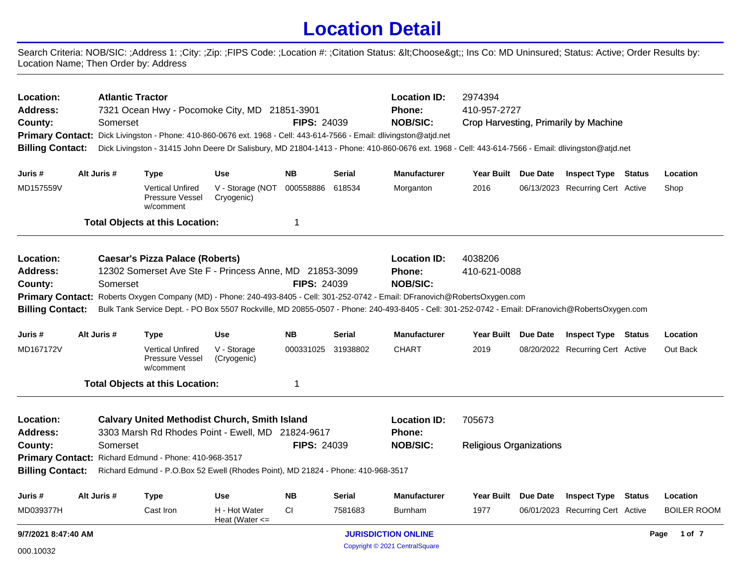## **Location Detail**

Search Criteria: NOB/SIC: ;Address 1: ;City: ;Zip: ;FIPS Code: ;Location #: ;Citation Status: <Choose&gt;; Ins Co: MD Uninsured; Status: Active; Order Results by: Location Name; Then Order by: Address

| Location:<br><b>Address:</b><br>County:            | <b>Atlantic Tractor</b><br>7321 Ocean Hwy - Pocomoke City, MD 21851-3901<br>Somerset<br>Primary Contact: Dick Livingston - Phone: 410-860-0676 ext. 1968 - Cell: 443-614-7566 - Email: dlivingston@atjd.net<br><b>Billing Contact:</b> |                                                         |                                                                                  |                                     |                    | <b>FIPS: 24039</b> | <b>Location ID:</b><br><b>Phone:</b><br><b>NOB/SIC:</b>                                                                                                                                                                                                         | 2974394<br>410-957-2727<br>Crop Harvesting, Primarily by Machine<br>Dick Livingston - 31415 John Deere Dr Salisbury, MD 21804-1413 - Phone: 410-860-0676 ext. 1968 - Cell: 443-614-7566 - Email: dlivingston@atjd.net |  |                                  |  |                    |  |
|----------------------------------------------------|----------------------------------------------------------------------------------------------------------------------------------------------------------------------------------------------------------------------------------------|---------------------------------------------------------|----------------------------------------------------------------------------------|-------------------------------------|--------------------|--------------------|-----------------------------------------------------------------------------------------------------------------------------------------------------------------------------------------------------------------------------------------------------------------|-----------------------------------------------------------------------------------------------------------------------------------------------------------------------------------------------------------------------|--|----------------------------------|--|--------------------|--|
| Juris #                                            |                                                                                                                                                                                                                                        | Alt Juris #                                             | <b>Type</b>                                                                      | Use                                 | <b>NB</b>          | <b>Serial</b>      | <b>Manufacturer</b>                                                                                                                                                                                                                                             | Year Built Due Date                                                                                                                                                                                                   |  | <b>Inspect Type Status</b>       |  | Location           |  |
| MD157559V                                          |                                                                                                                                                                                                                                        |                                                         | <b>Vertical Unfired</b><br><b>Pressure Vessel</b><br>w/comment                   | V - Storage (NOT<br>Cryogenic)      | 000558886          | 618534             | Morganton                                                                                                                                                                                                                                                       | 2016                                                                                                                                                                                                                  |  | 06/13/2023 Recurring Cert Active |  | Shop               |  |
|                                                    |                                                                                                                                                                                                                                        |                                                         | <b>Total Objects at this Location:</b>                                           |                                     | 1                  |                    |                                                                                                                                                                                                                                                                 |                                                                                                                                                                                                                       |  |                                  |  |                    |  |
| Location:                                          |                                                                                                                                                                                                                                        |                                                         | <b>Caesar's Pizza Palace (Roberts)</b>                                           |                                     |                    |                    | <b>Location ID:</b>                                                                                                                                                                                                                                             | 4038206                                                                                                                                                                                                               |  |                                  |  |                    |  |
| <b>Address:</b>                                    |                                                                                                                                                                                                                                        | 12302 Somerset Ave Ste F - Princess Anne, MD 21853-3099 |                                                                                  |                                     |                    |                    | <b>Phone:</b>                                                                                                                                                                                                                                                   | 410-621-0088                                                                                                                                                                                                          |  |                                  |  |                    |  |
| County:                                            | <b>FIPS: 24039</b><br>Somerset                                                                                                                                                                                                         |                                                         |                                                                                  |                                     |                    |                    | <b>NOB/SIC:</b>                                                                                                                                                                                                                                                 |                                                                                                                                                                                                                       |  |                                  |  |                    |  |
| <b>Primary Contact:</b><br><b>Billing Contact:</b> |                                                                                                                                                                                                                                        |                                                         |                                                                                  |                                     |                    |                    | Roberts Oxygen Company (MD) - Phone: 240-493-8405 - Cell: 301-252-0742 - Email: DFranovich@RobertsOxygen.com<br>Bulk Tank Service Dept. - PO Box 5507 Rockville, MD 20855-0507 - Phone: 240-493-8405 - Cell: 301-252-0742 - Email: DFranovich@RobertsOxygen.com |                                                                                                                                                                                                                       |  |                                  |  |                    |  |
| Juris #                                            |                                                                                                                                                                                                                                        | Alt Juris #                                             | <b>Type</b>                                                                      | <b>Use</b>                          | NΒ                 | <b>Serial</b>      | <b>Manufacturer</b>                                                                                                                                                                                                                                             | Year Built Due Date                                                                                                                                                                                                   |  | <b>Inspect Type Status</b>       |  | Location           |  |
| MD167172V                                          |                                                                                                                                                                                                                                        |                                                         | <b>Vertical Unfired</b><br>Pressure Vessel<br>w/comment                          | V - Storage<br>(Cryogenic)          | 000331025 31938802 |                    | <b>CHART</b>                                                                                                                                                                                                                                                    | 2019                                                                                                                                                                                                                  |  | 08/20/2022 Recurring Cert Active |  | Out Back           |  |
|                                                    |                                                                                                                                                                                                                                        |                                                         | <b>Total Objects at this Location:</b>                                           |                                     | 1                  |                    |                                                                                                                                                                                                                                                                 |                                                                                                                                                                                                                       |  |                                  |  |                    |  |
| Location:                                          |                                                                                                                                                                                                                                        |                                                         | <b>Calvary United Methodist Church, Smith Island</b>                             |                                     |                    |                    | <b>Location ID:</b>                                                                                                                                                                                                                                             | 705673                                                                                                                                                                                                                |  |                                  |  |                    |  |
| Address:                                           |                                                                                                                                                                                                                                        |                                                         | 3303 Marsh Rd Rhodes Point - Ewell, MD 21824-9617                                |                                     |                    |                    | <b>Phone:</b>                                                                                                                                                                                                                                                   |                                                                                                                                                                                                                       |  |                                  |  |                    |  |
| County:                                            |                                                                                                                                                                                                                                        | Somerset                                                |                                                                                  |                                     | <b>FIPS: 24039</b> |                    | <b>NOB/SIC:</b>                                                                                                                                                                                                                                                 | <b>Religious Organizations</b>                                                                                                                                                                                        |  |                                  |  |                    |  |
| <b>Primary Contact:</b>                            |                                                                                                                                                                                                                                        |                                                         | Richard Edmund - Phone: 410-968-3517                                             |                                     |                    |                    |                                                                                                                                                                                                                                                                 |                                                                                                                                                                                                                       |  |                                  |  |                    |  |
| <b>Billing Contact:</b>                            |                                                                                                                                                                                                                                        |                                                         | Richard Edmund - P.O.Box 52 Ewell (Rhodes Point), MD 21824 - Phone: 410-968-3517 |                                     |                    |                    |                                                                                                                                                                                                                                                                 |                                                                                                                                                                                                                       |  |                                  |  |                    |  |
| Juris #                                            |                                                                                                                                                                                                                                        | Alt Juris #                                             | <b>Type</b>                                                                      | <b>Use</b>                          | <b>NB</b>          | <b>Serial</b>      | <b>Manufacturer</b>                                                                                                                                                                                                                                             | Year Built Due Date                                                                                                                                                                                                   |  | <b>Inspect Type Status</b>       |  | Location           |  |
| MD039377H                                          |                                                                                                                                                                                                                                        |                                                         | Cast Iron                                                                        | H - Hot Water<br>Heat (Water $\leq$ | CI                 | 7581683            | Burnham                                                                                                                                                                                                                                                         | 1977                                                                                                                                                                                                                  |  | 06/01/2023 Recurring Cert Active |  | <b>BOILER ROOM</b> |  |
| 9/7/2021 8:47:40 AM                                |                                                                                                                                                                                                                                        |                                                         |                                                                                  |                                     |                    |                    | <b>JURISDICTION ONLINE</b>                                                                                                                                                                                                                                      |                                                                                                                                                                                                                       |  |                                  |  | 1 of 7<br>Page     |  |
| 000.10032                                          |                                                                                                                                                                                                                                        |                                                         |                                                                                  |                                     |                    |                    | Copyright © 2021 CentralSquare                                                                                                                                                                                                                                  |                                                                                                                                                                                                                       |  |                                  |  |                    |  |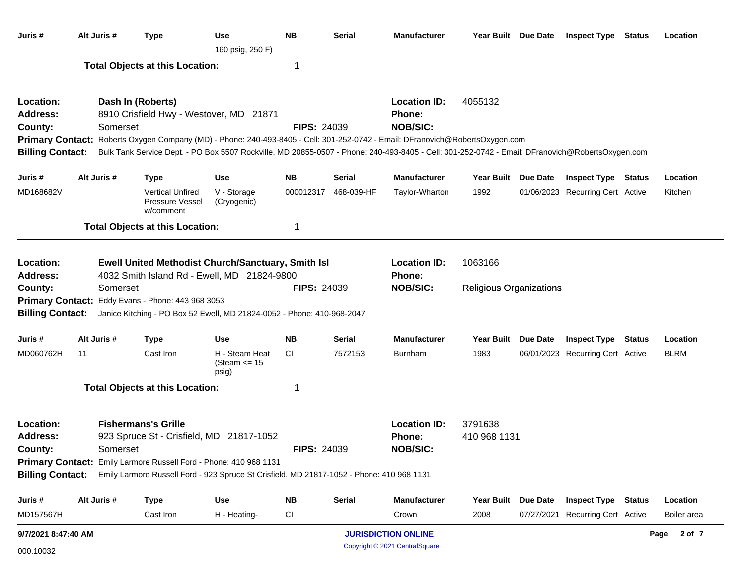| Juris #                                                            | Alt Juris # | <b>Type</b>                                                                                                                                                                                                                                                                                                                                      | Use<br>160 psig, 250 F)                                 | <b>NB</b>               | <b>Serial</b>        | <b>Manufacturer</b>                                          | Year Built Due Date            |                 | <b>Inspect Type Status</b>       | Location    |
|--------------------------------------------------------------------|-------------|--------------------------------------------------------------------------------------------------------------------------------------------------------------------------------------------------------------------------------------------------------------------------------------------------------------------------------------------------|---------------------------------------------------------|-------------------------|----------------------|--------------------------------------------------------------|--------------------------------|-----------------|----------------------------------|-------------|
|                                                                    |             | <b>Total Objects at this Location:</b>                                                                                                                                                                                                                                                                                                           |                                                         | 1                       |                      |                                                              |                                |                 |                                  |             |
| Location:<br><b>Address:</b><br>County:<br><b>Billing Contact:</b> | Somerset    | Dash In (Roberts)<br>8910 Crisfield Hwy - Westover, MD 21871<br>Primary Contact: Roberts Oxygen Company (MD) - Phone: 240-493-8405 - Cell: 301-252-0742 - Email: DFranovich@RobertsOxygen.com<br>Bulk Tank Service Dept. - PO Box 5507 Rockville, MD 20855-0507 - Phone: 240-493-8405 - Cell: 301-252-0742 - Email: DFranovich@RobertsOxygen.com |                                                         | <b>FIPS: 24039</b>      |                      | <b>Location ID:</b><br>Phone:<br><b>NOB/SIC:</b>             | 4055132                        |                 |                                  |             |
| Juris #                                                            | Alt Juris # | <b>Type</b>                                                                                                                                                                                                                                                                                                                                      | <b>Use</b>                                              | <b>NB</b>               | <b>Serial</b>        | <b>Manufacturer</b>                                          | <b>Year Built</b>              | Due Date        | <b>Inspect Type Status</b>       | Location    |
| MD168682V                                                          |             | <b>Vertical Unfired</b><br>Pressure Vessel<br>w/comment                                                                                                                                                                                                                                                                                          | V - Storage<br>(Cryogenic)                              |                         | 000012317 468-039-HF | Taylor-Wharton                                               | 1992                           |                 | 01/06/2023 Recurring Cert Active | Kitchen     |
|                                                                    |             | <b>Total Objects at this Location:</b>                                                                                                                                                                                                                                                                                                           |                                                         | 1                       |                      |                                                              |                                |                 |                                  |             |
| Location:<br><b>Address:</b>                                       |             | <b>Ewell United Methodist Church/Sanctuary, Smith Isl</b><br>4032 Smith Island Rd - Ewell, MD 21824-9800                                                                                                                                                                                                                                         |                                                         |                         |                      | <b>Location ID:</b><br>Phone:                                | 1063166                        |                 |                                  |             |
| County:<br><b>Billing Contact:</b>                                 | Somerset    | Primary Contact: Eddy Evans - Phone: 443 968 3053<br>Janice Kitching - PO Box 52 Ewell, MD 21824-0052 - Phone: 410-968-2047                                                                                                                                                                                                                      |                                                         | <b>FIPS: 24039</b>      |                      | <b>NOB/SIC:</b>                                              | <b>Religious Organizations</b> |                 |                                  |             |
| Juris #                                                            | Alt Juris # | <b>Type</b>                                                                                                                                                                                                                                                                                                                                      | Use                                                     | <b>NB</b>               | Serial               | <b>Manufacturer</b>                                          | <b>Year Built</b>              | <b>Due Date</b> | <b>Inspect Type Status</b>       | Location    |
| MD060762H                                                          | 11          | Cast Iron                                                                                                                                                                                                                                                                                                                                        | H - Steam Heat<br>(Steam $\le$ 15<br>psig)              | CI                      | 7572153              | <b>Burnham</b>                                               | 1983                           |                 | 06/01/2023 Recurring Cert Active | <b>BLRM</b> |
|                                                                    |             | <b>Total Objects at this Location:</b>                                                                                                                                                                                                                                                                                                           |                                                         | 1                       |                      |                                                              |                                |                 |                                  |             |
| Location:<br><b>Address:</b><br>County:                            | Somerset    | <b>Fishermans's Grille</b><br>923 Spruce St - Crisfield, MD 21817-1052                                                                                                                                                                                                                                                                           | <b>Location ID:</b><br><b>Phone:</b><br><b>NOB/SIC:</b> | 3791638<br>410 968 1131 |                      |                                                              |                                |                 |                                  |             |
| <b>Billing Contact:</b>                                            |             | Primary Contact: Emily Larmore Russell Ford - Phone: 410 968 1131<br>Emily Larmore Russell Ford - 923 Spruce St Crisfield, MD 21817-1052 - Phone: 410 968 1131                                                                                                                                                                                   |                                                         |                         |                      |                                                              |                                |                 |                                  |             |
| Juris #                                                            | Alt Juris # | <b>Type</b>                                                                                                                                                                                                                                                                                                                                      | Use                                                     | <b>NB</b>               | <b>Serial</b>        | <b>Manufacturer</b>                                          | <b>Year Built</b>              | Due Date        | <b>Inspect Type Status</b>       | Location    |
| MD157567H                                                          |             | Cast Iron                                                                                                                                                                                                                                                                                                                                        | H - Heating-                                            | CI                      |                      | Crown                                                        | 2008                           |                 | 07/27/2021 Recurring Cert Active | Boiler area |
| 9/7/2021 8:47:40 AM<br>000.10032                                   |             |                                                                                                                                                                                                                                                                                                                                                  |                                                         |                         |                      | <b>JURISDICTION ONLINE</b><br>Copyright © 2021 CentralSquare |                                |                 |                                  | Page 2 of 7 |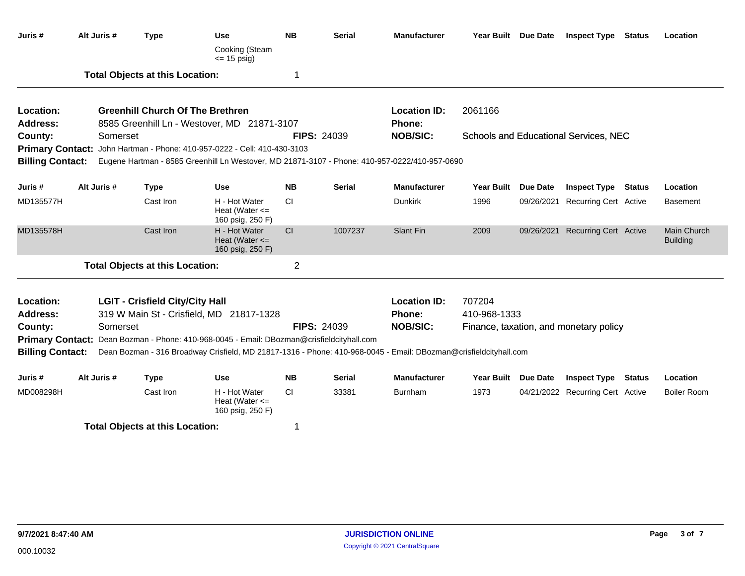| Juris #                 | Alt Juris # | <b>Type</b>                             | <b>Use</b><br>Cooking (Steam                                                                                                                                                                                  | <b>NB</b>      | <b>Serial</b>      | <b>Manufacturer</b> | Year Built Due Date |  | <b>Inspect Type</b>                          | Status        | Location                              |  |
|-------------------------|-------------|-----------------------------------------|---------------------------------------------------------------------------------------------------------------------------------------------------------------------------------------------------------------|----------------|--------------------|---------------------|---------------------|--|----------------------------------------------|---------------|---------------------------------------|--|
|                         |             |                                         | $\le$ 15 psig)                                                                                                                                                                                                |                |                    |                     |                     |  |                                              |               |                                       |  |
|                         |             | <b>Total Objects at this Location:</b>  |                                                                                                                                                                                                               | 1              |                    |                     |                     |  |                                              |               |                                       |  |
| Location:               |             | <b>Greenhill Church Of The Brethren</b> |                                                                                                                                                                                                               |                |                    | <b>Location ID:</b> | 2061166             |  |                                              |               |                                       |  |
| <b>Address:</b>         |             |                                         | 8585 Greenhill Ln - Westover, MD 21871-3107                                                                                                                                                                   |                |                    | Phone:              |                     |  |                                              |               |                                       |  |
| County:                 | Somerset    |                                         |                                                                                                                                                                                                               |                | <b>FIPS: 24039</b> | <b>NOB/SIC:</b>     |                     |  | <b>Schools and Educational Services, NEC</b> |               |                                       |  |
|                         |             |                                         | Primary Contact: John Hartman - Phone: 410-957-0222 - Cell: 410-430-3103                                                                                                                                      |                |                    |                     |                     |  |                                              |               |                                       |  |
| <b>Billing Contact:</b> |             |                                         | Eugene Hartman - 8585 Greenhill Ln Westover, MD 21871-3107 - Phone: 410-957-0222/410-957-0690                                                                                                                 |                |                    |                     |                     |  |                                              |               |                                       |  |
| Juris #                 | Alt Juris # | <b>Type</b>                             | <b>Use</b>                                                                                                                                                                                                    | <b>NB</b>      | <b>Serial</b>      | <b>Manufacturer</b> | Year Built Due Date |  | <b>Inspect Type</b>                          | Status        | Location                              |  |
| MD135577H               |             | Cast Iron                               | H - Hot Water<br>Heat (Water $\leq$<br>160 psig, 250 F)                                                                                                                                                       | <b>CI</b>      |                    | <b>Dunkirk</b>      | 1996                |  | 09/26/2021 Recurring Cert Active             |               | <b>Basement</b>                       |  |
| MD135578H               |             | Cast Iron                               | H - Hot Water<br>Heat (Water $\leq$<br>160 psig, 250 F)                                                                                                                                                       | CI             | 1007237            | Slant Fin           | 2009                |  | 09/26/2021 Recurring Cert Active             |               | <b>Main Church</b><br><b>Building</b> |  |
|                         |             | <b>Total Objects at this Location:</b>  |                                                                                                                                                                                                               | $\overline{2}$ |                    |                     |                     |  |                                              |               |                                       |  |
| Location:               |             | <b>LGIT - Crisfield City/City Hall</b>  |                                                                                                                                                                                                               |                |                    | <b>Location ID:</b> | 707204              |  |                                              |               |                                       |  |
| <b>Address:</b>         |             |                                         | 319 W Main St - Crisfield, MD 21817-1328                                                                                                                                                                      |                |                    | <b>Phone:</b>       | 410-968-1333        |  |                                              |               |                                       |  |
| County:                 | Somerset    |                                         |                                                                                                                                                                                                               |                | <b>FIPS: 24039</b> | <b>NOB/SIC:</b>     |                     |  | Finance, taxation, and monetary policy       |               |                                       |  |
| <b>Billing Contact:</b> |             |                                         | Primary Contact: Dean Bozman - Phone: 410-968-0045 - Email: DBozman@crisfieldcityhall.com<br>Dean Bozman - 316 Broadway Crisfield, MD 21817-1316 - Phone: 410-968-0045 - Email: DBozman@crisfieldcityhall.com |                |                    |                     |                     |  |                                              |               |                                       |  |
| Juris #                 | Alt Juris # | <b>Type</b>                             | <b>Use</b>                                                                                                                                                                                                    | <b>NB</b>      | <b>Serial</b>      | <b>Manufacturer</b> | Year Built Due Date |  | <b>Inspect Type</b>                          | <b>Status</b> | Location                              |  |
| MD008298H               |             | Cast Iron                               | H - Hot Water<br>Heat (Water $\leq$<br>160 psig, 250 F)                                                                                                                                                       | <b>CI</b>      | 33381              | <b>Burnham</b>      | 1973                |  | 04/21/2022 Recurring Cert Active             |               | <b>Boiler Room</b>                    |  |
|                         |             | <b>Total Objects at this Location:</b>  |                                                                                                                                                                                                               | 1              |                    |                     |                     |  |                                              |               |                                       |  |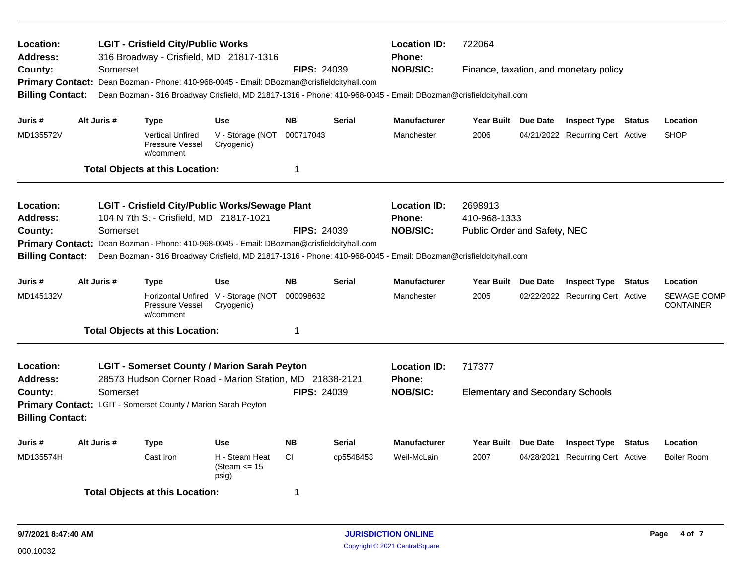| Location:<br><b>Address:</b><br>County:                       |                                                                                                                                                                                                                    | Somerset                                                                                                                                                                                     | <b>LGIT - Crisfield City/Public Works</b><br>316 Broadway - Crisfield, MD 21817-1316                                                                                                         |                                                   | <b>FIPS: 24039</b>                   |                         | <b>Location ID:</b><br><b>Phone:</b><br><b>NOB/SIC:</b> | 722064<br>Finance, taxation, and monetary policy  |  |                                  |        |                                        |  |
|---------------------------------------------------------------|--------------------------------------------------------------------------------------------------------------------------------------------------------------------------------------------------------------------|----------------------------------------------------------------------------------------------------------------------------------------------------------------------------------------------|----------------------------------------------------------------------------------------------------------------------------------------------------------------------------------------------|---------------------------------------------------|--------------------------------------|-------------------------|---------------------------------------------------------|---------------------------------------------------|--|----------------------------------|--------|----------------------------------------|--|
| <b>Primary Contact:</b><br><b>Billing Contact:</b>            |                                                                                                                                                                                                                    | Dean Bozman - Phone: 410-968-0045 - Email: DBozman@crisfieldcityhall.com<br>Dean Bozman - 316 Broadway Crisfield, MD 21817-1316 - Phone: 410-968-0045 - Email: DBozman@crisfieldcityhall.com |                                                                                                                                                                                              |                                                   |                                      |                         |                                                         |                                                   |  |                                  |        |                                        |  |
| Juris #                                                       |                                                                                                                                                                                                                    | Alt Juris #                                                                                                                                                                                  | <b>Type</b>                                                                                                                                                                                  | <b>Use</b>                                        | <b>NB</b>                            | <b>Serial</b>           | <b>Manufacturer</b>                                     | Year Built Due Date                               |  | <b>Inspect Type Status</b>       |        | Location                               |  |
| MD135572V                                                     |                                                                                                                                                                                                                    |                                                                                                                                                                                              | <b>Vertical Unfired</b><br>Pressure Vessel<br>w/comment                                                                                                                                      | V - Storage (NOT<br>Cryogenic)                    | 000717043                            |                         | Manchester                                              | 2006                                              |  | 04/21/2022 Recurring Cert Active |        | <b>SHOP</b>                            |  |
|                                                               |                                                                                                                                                                                                                    |                                                                                                                                                                                              | <b>Total Objects at this Location:</b>                                                                                                                                                       |                                                   | 1                                    |                         |                                                         |                                                   |  |                                  |        |                                        |  |
| Location:<br>Address:                                         |                                                                                                                                                                                                                    |                                                                                                                                                                                              | <b>LGIT - Crisfield City/Public Works/Sewage Plant</b><br>104 N 7th St - Crisfield, MD 21817-1021                                                                                            |                                                   | <b>Location ID:</b><br><b>Phone:</b> | 2698913<br>410-968-1333 |                                                         |                                                   |  |                                  |        |                                        |  |
| County:<br><b>Primary Contact:</b><br><b>Billing Contact:</b> |                                                                                                                                                                                                                    | Somerset                                                                                                                                                                                     | Dean Bozman - Phone: 410-968-0045 - Email: DBozman@crisfieldcityhall.com<br>Dean Bozman - 316 Broadway Crisfield, MD 21817-1316 - Phone: 410-968-0045 - Email: DBozman@crisfieldcityhall.com |                                                   | <b>FIPS: 24039</b>                   |                         | <b>NOB/SIC:</b>                                         | Public Order and Safety, NEC                      |  |                                  |        |                                        |  |
| Juris #                                                       |                                                                                                                                                                                                                    | Alt Juris #                                                                                                                                                                                  | <b>Type</b>                                                                                                                                                                                  | <b>Use</b>                                        | <b>NB</b>                            | <b>Serial</b>           | <b>Manufacturer</b>                                     | Year Built Due Date                               |  | <b>Inspect Type Status</b>       |        | Location                               |  |
| MD145132V                                                     |                                                                                                                                                                                                                    |                                                                                                                                                                                              | Pressure Vessel<br>w/comment                                                                                                                                                                 | Horizontal Unfired V - Storage (NOT<br>Cryogenic) | 000098632                            |                         | Manchester                                              | 2005                                              |  | 02/22/2022 Recurring Cert Active |        | <b>SEWAGE COMP</b><br><b>CONTAINER</b> |  |
|                                                               |                                                                                                                                                                                                                    |                                                                                                                                                                                              | <b>Total Objects at this Location:</b>                                                                                                                                                       |                                                   | 1                                    |                         |                                                         |                                                   |  |                                  |        |                                        |  |
| Location:<br><b>Address:</b><br>County:                       | <b>LGIT - Somerset County / Marion Sarah Peyton</b><br>28573 Hudson Corner Road - Marion Station, MD 21838-2121<br><b>FIPS: 24039</b><br>Somerset<br>Primary Contact: LGIT - Somerset County / Marion Sarah Peyton |                                                                                                                                                                                              |                                                                                                                                                                                              |                                                   |                                      |                         | <b>Location ID:</b><br><b>Phone:</b><br><b>NOB/SIC:</b> | 717377<br><b>Elementary and Secondary Schools</b> |  |                                  |        |                                        |  |
| <b>Billing Contact:</b>                                       |                                                                                                                                                                                                                    |                                                                                                                                                                                              |                                                                                                                                                                                              |                                                   |                                      |                         |                                                         |                                                   |  |                                  |        |                                        |  |
| Juris #                                                       |                                                                                                                                                                                                                    | Alt Juris #                                                                                                                                                                                  | <b>Type</b>                                                                                                                                                                                  | <b>Use</b>                                        | <b>NB</b>                            | <b>Serial</b>           | <b>Manufacturer</b>                                     | Year Built Due Date                               |  | <b>Inspect Type</b>              | Status | Location                               |  |
| MD135574H                                                     |                                                                                                                                                                                                                    |                                                                                                                                                                                              | Cast Iron                                                                                                                                                                                    | H - Steam Heat<br>(Steam $\leq$ 15<br>psig)       | <b>CI</b>                            | cp5548453               | Weil-McLain                                             | 2007                                              |  | 04/28/2021 Recurring Cert Active |        | <b>Boiler Room</b>                     |  |
|                                                               |                                                                                                                                                                                                                    |                                                                                                                                                                                              | <b>Total Objects at this Location:</b>                                                                                                                                                       |                                                   | 1                                    |                         |                                                         |                                                   |  |                                  |        |                                        |  |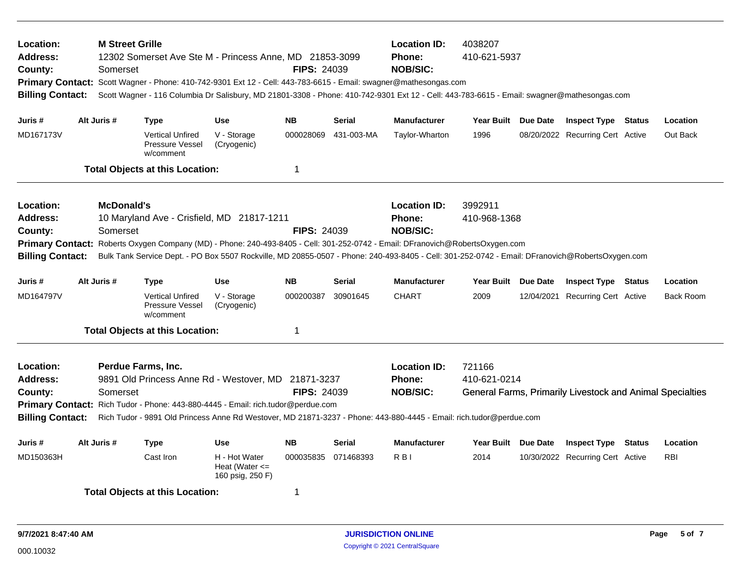| <b>M Street Grille</b><br>Location:<br>12302 Somerset Ave Ste M - Princess Anne, MD 21853-3099<br><b>Address:</b><br>County:<br>Somerset<br>Primary Contact: Scott Wagner - Phone: 410-742-9301 Ext 12 - Cell: 443-783-6615 - Email: swagner@mathesongas.com<br><b>Billing Contact:</b>                                                                                               |  |                               |                                                         |                                                         | <b>FIPS: 24039</b> |                                                  | <b>Location ID:</b><br>4038207<br>Phone:<br>410-621-5937<br><b>NOB/SIC:</b><br>Scott Wagner - 116 Columbia Dr Salisbury, MD 21801-3308 - Phone: 410-742-9301 Ext 12 - Cell: 443-783-6615 - Email: swagner@mathesongas.com                                                                                                  |                         |          |                                  |        |                  |  |
|---------------------------------------------------------------------------------------------------------------------------------------------------------------------------------------------------------------------------------------------------------------------------------------------------------------------------------------------------------------------------------------|--|-------------------------------|---------------------------------------------------------|---------------------------------------------------------|--------------------|--------------------------------------------------|----------------------------------------------------------------------------------------------------------------------------------------------------------------------------------------------------------------------------------------------------------------------------------------------------------------------------|-------------------------|----------|----------------------------------|--------|------------------|--|
| Juris #                                                                                                                                                                                                                                                                                                                                                                               |  | Alt Juris #                   | <b>Type</b>                                             | <b>Use</b>                                              | <b>NB</b>          | <b>Serial</b>                                    | <b>Manufacturer</b>                                                                                                                                                                                                                                                                                                        | Year Built Due Date     |          | <b>Inspect Type Status</b>       |        | Location         |  |
| MD167173V                                                                                                                                                                                                                                                                                                                                                                             |  |                               | <b>Vertical Unfired</b><br>Pressure Vessel<br>w/comment | V - Storage<br>(Cryogenic)                              | 000028069          | 431-003-MA                                       | Taylor-Wharton                                                                                                                                                                                                                                                                                                             | 1996                    |          | 08/20/2022 Recurring Cert Active |        | Out Back         |  |
|                                                                                                                                                                                                                                                                                                                                                                                       |  |                               | <b>Total Objects at this Location:</b>                  |                                                         | 1                  |                                                  |                                                                                                                                                                                                                                                                                                                            |                         |          |                                  |        |                  |  |
| Location:<br><b>Address:</b><br>County:<br><b>Primary Contact:</b><br><b>Billing Contact:</b>                                                                                                                                                                                                                                                                                         |  | <b>McDonald's</b><br>Somerset | 10 Maryland Ave - Crisfield, MD 21817-1211              |                                                         | <b>FIPS: 24039</b> |                                                  | <b>Location ID:</b><br><b>Phone:</b><br><b>NOB/SIC:</b><br>Roberts Oxygen Company (MD) - Phone: 240-493-8405 - Cell: 301-252-0742 - Email: DFranovich@RobertsOxygen.com<br>Bulk Tank Service Dept. - PO Box 5507 Rockville, MD 20855-0507 - Phone: 240-493-8405 - Cell: 301-252-0742 - Email: DFranovich@RobertsOxygen.com | 3992911<br>410-968-1368 |          |                                  |        |                  |  |
| Juris #                                                                                                                                                                                                                                                                                                                                                                               |  | Alt Juris #                   | <b>Type</b>                                             | <b>Use</b>                                              | <b>NB</b>          | Serial                                           | <b>Manufacturer</b>                                                                                                                                                                                                                                                                                                        | Year Built              | Due Date | <b>Inspect Type Status</b>       |        | Location         |  |
| MD164797V                                                                                                                                                                                                                                                                                                                                                                             |  |                               | <b>Vertical Unfired</b><br>Pressure Vessel<br>w/comment | V - Storage<br>(Cryogenic)                              | 000200387          | 30901645                                         | <b>CHART</b>                                                                                                                                                                                                                                                                                                               | 2009                    |          | 12/04/2021 Recurring Cert Active |        | <b>Back Room</b> |  |
|                                                                                                                                                                                                                                                                                                                                                                                       |  |                               | <b>Total Objects at this Location:</b>                  |                                                         | 1                  |                                                  |                                                                                                                                                                                                                                                                                                                            |                         |          |                                  |        |                  |  |
| Location:<br>Perdue Farms, Inc.<br>9891 Old Princess Anne Rd - Westover, MD 21871-3237<br>Address:<br><b>FIPS: 24039</b><br>Somerset<br>County:<br>Primary Contact: Rich Tudor - Phone: 443-880-4445 - Email: rich.tudor@perdue.com<br><b>Billing Contact:</b><br>Rich Tudor - 9891 Old Princess Anne Rd Westover, MD 21871-3237 - Phone: 443-880-4445 - Email: rich.tudor@perdue.com |  |                               |                                                         |                                                         |                    | <b>Location ID:</b><br>Phone:<br><b>NOB/SIC:</b> | 721166<br>410-621-0214<br>General Farms, Primarily Livestock and Animal Specialties                                                                                                                                                                                                                                        |                         |          |                                  |        |                  |  |
| Juris #                                                                                                                                                                                                                                                                                                                                                                               |  | Alt Juris #                   | <b>Type</b>                                             | <b>Use</b>                                              | <b>NB</b>          | <b>Serial</b>                                    | <b>Manufacturer</b>                                                                                                                                                                                                                                                                                                        | <b>Year Built</b>       | Due Date | <b>Inspect Type</b>              | Status | Location         |  |
| MD150363H                                                                                                                                                                                                                                                                                                                                                                             |  |                               | Cast Iron                                               | H - Hot Water<br>Heat (Water $\leq$<br>160 psig, 250 F) | 000035835          | 071468393                                        | R <sub>BI</sub>                                                                                                                                                                                                                                                                                                            | 2014                    |          | 10/30/2022 Recurring Cert Active |        | <b>RBI</b>       |  |
|                                                                                                                                                                                                                                                                                                                                                                                       |  |                               | <b>Total Objects at this Location:</b>                  |                                                         | 1                  |                                                  |                                                                                                                                                                                                                                                                                                                            |                         |          |                                  |        |                  |  |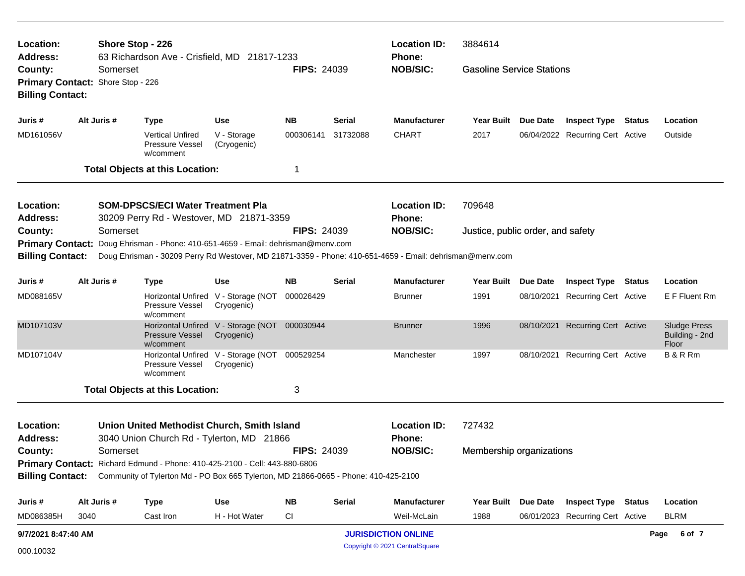| Location:                                             |                                                                                          | Shore Stop - 226                                                                                                                                                                             |                                                   |                    |                           | <b>Location ID:</b>                                  | 3884614                  |                     |                                  |  |                                                |  |
|-------------------------------------------------------|------------------------------------------------------------------------------------------|----------------------------------------------------------------------------------------------------------------------------------------------------------------------------------------------|---------------------------------------------------|--------------------|---------------------------|------------------------------------------------------|--------------------------|---------------------|----------------------------------|--|------------------------------------------------|--|
| <b>Address:</b><br>County:<br><b>Billing Contact:</b> | Somerset<br>Primary Contact: Shore Stop - 226                                            | 63 Richardson Ave - Crisfield, MD 21817-1233                                                                                                                                                 |                                                   | <b>FIPS: 24039</b> | Phone:<br><b>NOB/SIC:</b> | <b>Gasoline Service Stations</b>                     |                          |                     |                                  |  |                                                |  |
| Juris #                                               | Alt Juris #                                                                              | <b>Type</b>                                                                                                                                                                                  | <b>Use</b>                                        | <b>NB</b>          | <b>Serial</b>             | <b>Manufacturer</b>                                  | Year Built Due Date      |                     | <b>Inspect Type Status</b>       |  | Location                                       |  |
| MD161056V                                             |                                                                                          | Vertical Unfired<br><b>Pressure Vessel</b><br>w/comment                                                                                                                                      | V - Storage<br>(Cryogenic)                        | 000306141          | 31732088                  | <b>CHART</b>                                         | 2017                     |                     | 06/04/2022 Recurring Cert Active |  | Outside                                        |  |
|                                                       |                                                                                          | <b>Total Objects at this Location:</b>                                                                                                                                                       |                                                   | 1                  |                           |                                                      |                          |                     |                                  |  |                                                |  |
| Location:<br><b>Address:</b>                          | <b>SOM-DPSCS/ECI Water Treatment Pla</b><br>30209 Perry Rd - Westover, MD 21871-3359     | <b>Location ID:</b><br>Phone:                                                                                                                                                                | 709648                                            |                    |                           |                                                      |                          |                     |                                  |  |                                                |  |
| County:                                               | Somerset                                                                                 |                                                                                                                                                                                              |                                                   | <b>FIPS: 24039</b> |                           | <b>NOB/SIC:</b><br>Justice, public order, and safety |                          |                     |                                  |  |                                                |  |
| <b>Billing Contact:</b>                               |                                                                                          | Primary Contact: Doug Ehrisman - Phone: 410-651-4659 - Email: dehrisman@menv.com<br>Doug Ehrisman - 30209 Perry Rd Westover, MD 21871-3359 - Phone: 410-651-4659 - Email: dehrisman@menv.com |                                                   |                    |                           |                                                      |                          |                     |                                  |  |                                                |  |
| Juris #                                               | Alt Juris #                                                                              | <b>Type</b>                                                                                                                                                                                  | Use                                               | NΒ                 | Serial                    | <b>Manufacturer</b>                                  | Year Built Due Date      |                     | <b>Inspect Type Status</b>       |  | Location                                       |  |
| MD088165V                                             |                                                                                          | Pressure Vessel<br>w/comment                                                                                                                                                                 | Horizontal Unfired V - Storage (NOT<br>Cryogenic) | 000026429          |                           | <b>Brunner</b>                                       | 1991                     |                     | 08/10/2021 Recurring Cert Active |  | E F Fluent Rm                                  |  |
| MD107103V                                             |                                                                                          | Pressure Vessel<br>w/comment                                                                                                                                                                 | Horizontal Unfired V - Storage (NOT<br>Cryogenic) | 000030944          |                           | Brunner                                              | 1996                     |                     | 08/10/2021 Recurring Cert Active |  | <b>Sludge Press</b><br>Building - 2nd<br>Floor |  |
| MD107104V                                             |                                                                                          | Pressure Vessel<br>w/comment                                                                                                                                                                 | Horizontal Unfired V - Storage (NOT<br>Cryogenic) | 000529254          |                           | Manchester                                           | 1997                     |                     | 08/10/2021 Recurring Cert Active |  | B & R Rm                                       |  |
|                                                       |                                                                                          | <b>Total Objects at this Location:</b>                                                                                                                                                       |                                                   | 3                  |                           |                                                      |                          |                     |                                  |  |                                                |  |
| Location:<br><b>Address:</b>                          | Union United Methodist Church, Smith Island<br>3040 Union Church Rd - Tylerton, MD 21866 | <b>Location ID:</b><br><b>Phone:</b>                                                                                                                                                         | 727432                                            |                    |                           |                                                      |                          |                     |                                  |  |                                                |  |
| County:<br><b>FIPS: 24039</b><br>Somerset             |                                                                                          |                                                                                                                                                                                              |                                                   |                    |                           | <b>NOB/SIC:</b>                                      | Membership organizations |                     |                                  |  |                                                |  |
|                                                       |                                                                                          | Primary Contact: Richard Edmund - Phone: 410-425-2100 - Cell: 443-880-6806<br>Billing Contact: Community of Tylerton Md - PO Box 665 Tylerton, MD 21866-0665 - Phone: 410-425-2100           |                                                   |                    |                           |                                                      |                          |                     |                                  |  |                                                |  |
| Juris #                                               | Alt Juris #                                                                              | <b>Type</b>                                                                                                                                                                                  | <b>Use</b>                                        | NB                 | <b>Serial</b>             | <b>Manufacturer</b>                                  |                          | Year Built Due Date | <b>Inspect Type Status</b>       |  | Location                                       |  |
| MD086385H                                             | 3040                                                                                     | Cast Iron                                                                                                                                                                                    | H - Hot Water                                     | <b>CI</b>          |                           | Weil-McLain                                          | 1988                     |                     | 06/01/2023 Recurring Cert Active |  | <b>BLRM</b>                                    |  |